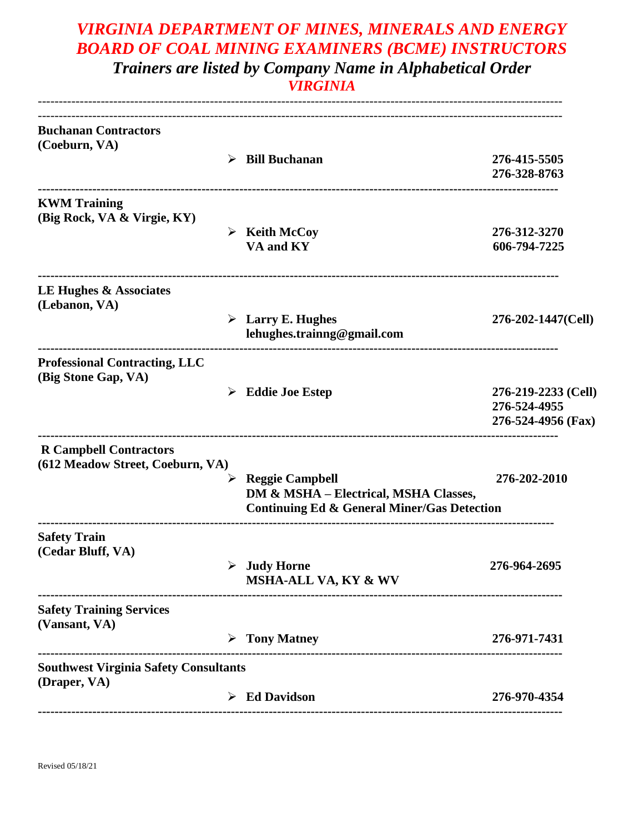## *VIRGINIA DEPARTMENT OF MINES, MINERALS AND ENERGY BOARD OF COAL MINING EXAMINERS (BCME) INSTRUCTORS Trainers are listed by Company Name in Alphabetical Order*

*VIRGINIA*

| <b>Buchanan Contractors</b><br>(Coeburn, VA)                      | <b>Bill Buchanan</b><br>➤                                                                                                      | 276-415-5505                                              |
|-------------------------------------------------------------------|--------------------------------------------------------------------------------------------------------------------------------|-----------------------------------------------------------|
|                                                                   |                                                                                                                                | 276-328-8763                                              |
| <b>KWM</b> Training<br>(Big Rock, VA & Virgie, KY)                | $\triangleright$ Keith McCoy<br>VA and KY                                                                                      | 276-312-3270<br>606-794-7225                              |
| LE Hughes & Associates<br>(Lebanon, VA)                           |                                                                                                                                |                                                           |
|                                                                   | $\triangleright$ Larry E. Hughes<br>lehughes.trainng@gmail.com                                                                 | 276-202-1447(Cell)                                        |
| <b>Professional Contracting, LLC</b><br>(Big Stone Gap, VA)       | $\triangleright$ Eddie Joe Estep                                                                                               | 276-219-2233 (Cell)<br>276-524-4955<br>276-524-4956 (Fax) |
| <b>R</b> Campbell Contractors<br>(612 Meadow Street, Coeburn, VA) | <b>Reggie Campbell</b><br>➤<br>DM & MSHA - Electrical, MSHA Classes,<br><b>Continuing Ed &amp; General Miner/Gas Detection</b> | 276-202-2010                                              |
| <b>Safety Train</b><br>(Cedar Bluff, VA)                          | $\triangleright$ Judy Horne<br>MSHA-ALL VA, KY & WV                                                                            | 276-964-2695                                              |
| <b>Safety Training Services</b><br>(Vansant, VA)                  | <b>Tony Matney</b>                                                                                                             | 276-971-7431                                              |
| <b>Southwest Virginia Safety Consultants</b>                      |                                                                                                                                |                                                           |
| (Draper, VA)                                                      | $\triangleright$ Ed Davidson                                                                                                   | 276-970-4354                                              |
|                                                                   |                                                                                                                                |                                                           |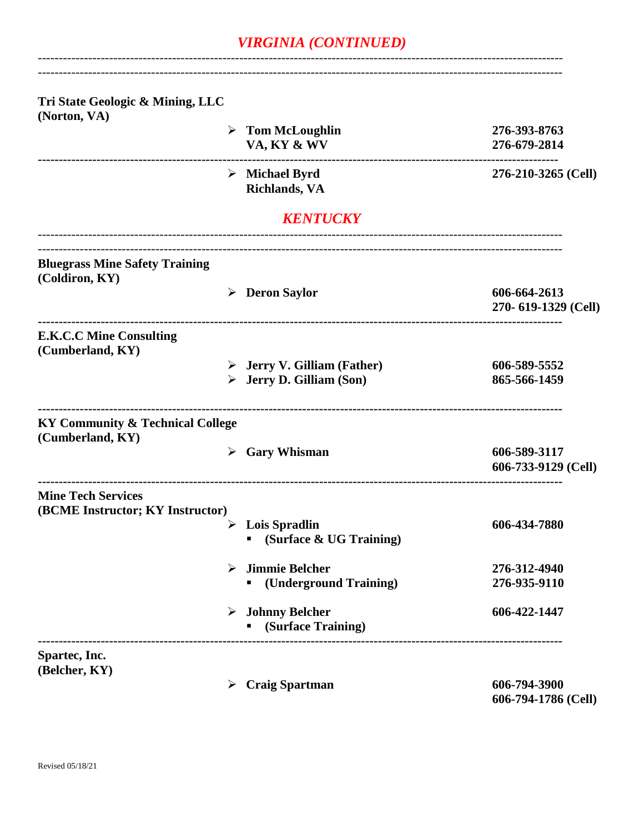## *VIRGINIA (CONTINUED)*

-----------------------------------------------------------------------------------------------------------------------------

| Tri State Geologic & Mining, LLC<br>(Norton, VA)                |                                                                                       |                                     |
|-----------------------------------------------------------------|---------------------------------------------------------------------------------------|-------------------------------------|
|                                                                 | $\triangleright$ Tom McLoughlin                                                       | 276-393-8763                        |
|                                                                 | VA, KY & WV                                                                           | 276-679-2814                        |
|                                                                 | $\triangleright$ Michael Byrd<br><b>Richlands</b> , VA                                | 276-210-3265 (Cell)                 |
|                                                                 | <b>KENTUCKY</b>                                                                       |                                     |
| <b>Bluegrass Mine Safety Training</b><br>(Coldiron, KY)         |                                                                                       |                                     |
|                                                                 | $\triangleright$ Deron Saylor                                                         | 606-664-2613<br>270-619-1329 (Cell) |
| <b>E.K.C.C Mine Consulting</b><br>(Cumberland, KY)              |                                                                                       |                                     |
|                                                                 | $\triangleright$ Jerry V. Gilliam (Father)<br>$\triangleright$ Jerry D. Gilliam (Son) | 606-589-5552<br>865-566-1459        |
| <b>KY Community &amp; Technical College</b><br>(Cumberland, KY) |                                                                                       |                                     |
|                                                                 | $\triangleright$ Gary Whisman                                                         | 606-589-3117<br>606-733-9129 (Cell) |
| <b>Mine Tech Services</b>                                       |                                                                                       |                                     |
| (BCME Instructor; KY Instructor)                                | <b>Lois Spradlin</b><br>➤<br>(Surface & UG Training)                                  | 606-434-7880                        |
|                                                                 | <b>Jimmie Belcher</b><br>➤                                                            | 276-312-4940                        |
|                                                                 | (Underground Training)                                                                | 276-935-9110                        |
|                                                                 | $\triangleright$ Johnny Belcher<br>(Surface Training)                                 | 606-422-1447                        |
| Spartec, Inc.                                                   |                                                                                       |                                     |
| (Belcher, KY)                                                   | <b>Craig Spartman</b><br>➤                                                            | 606-794-3900<br>606-794-1786 (Cell) |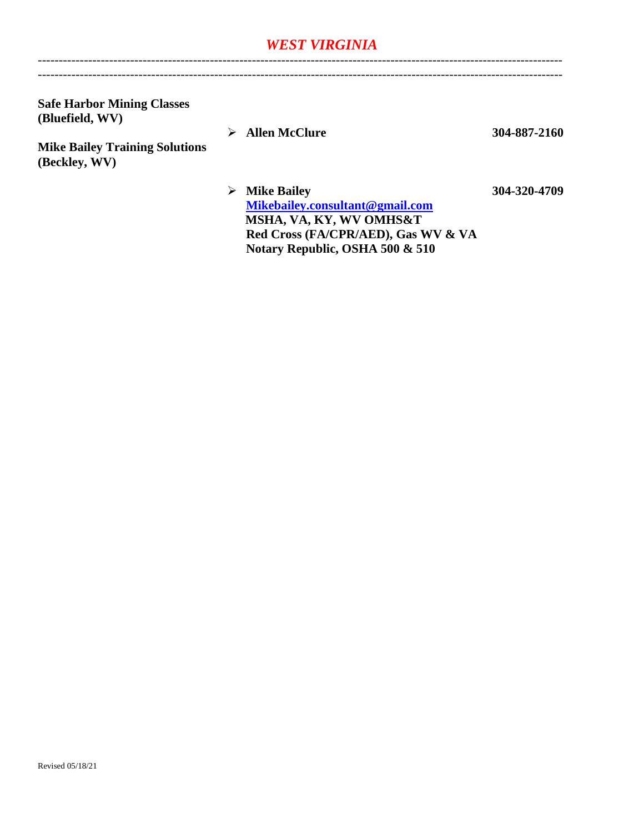## *WEST VIRGINIA*

-----------------------------------------------------------------------------------------------------------------------------

**Safe Harbor Mining Classes (Bluefield, WV)**

**Mike Bailey Training Solutions (Beckley, WV)**

**Allen McClure 304-887-2160**

 **Mike Bailey 304-320-4709 [Mikebailey.consultant@gmail.com](mailto:Mikebailey.consultant@gmail.com) MSHA, VA, KY, WV OMHS&T Red Cross (FA/CPR/AED), Gas WV & VA Notary Republic, OSHA 500 & 510**

-----------------------------------------------------------------------------------------------------------------------------